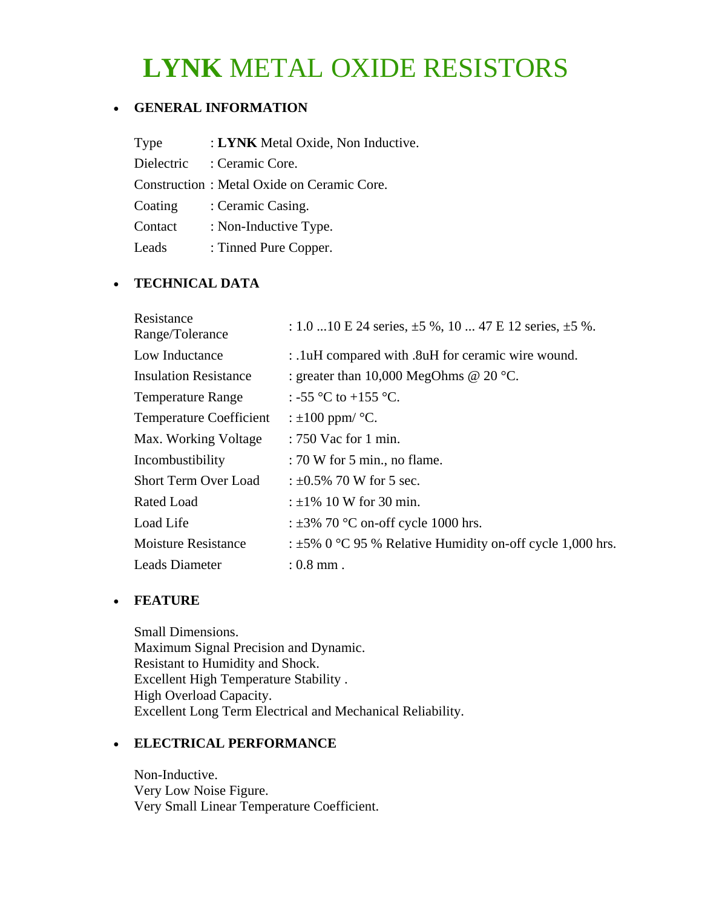# **LYNK** METAL OXIDE RESISTORS

### • **GENERAL INFORMATION**

| Type       | : LYNK Metal Oxide, Non Inductive.         |
|------------|--------------------------------------------|
| Dielectric | : Ceramic Core.                            |
|            | Construction: Metal Oxide on Ceramic Core. |
| Coating    | : Ceramic Casing.                          |
| Contact    | : Non-Inductive Type.                      |
| Leads      | : Tinned Pure Copper.                      |

### • **TECHNICAL DATA**

| Resistance<br>Range/Tolerance  | : 1.0  10 E 24 series, $\pm$ 5 %, 10  47 E 12 series, $\pm$ 5 %. |
|--------------------------------|------------------------------------------------------------------|
| Low Inductance                 | : .1uH compared with .8uH for ceramic wire wound.                |
| <b>Insulation Resistance</b>   | : greater than 10,000 MegOhms @ 20 $^{\circ}$ C.                 |
| <b>Temperature Range</b>       | : -55 °C to +155 °C.                                             |
| <b>Temperature Coefficient</b> | : $\pm 100$ ppm/ $\degree$ C.                                    |
| Max. Working Voltage           | $: 750$ Vac for 1 min.                                           |
| Incombustibility               | $: 70$ W for 5 min., no flame.                                   |
| <b>Short Term Over Load</b>    | : $\pm 0.5\%$ 70 W for 5 sec.                                    |
| Rated Load                     | : $\pm 1\%$ 10 W for 30 min.                                     |
| Load Life                      | : $\pm 3\%$ 70 °C on-off cycle 1000 hrs.                         |
| <b>Moisture Resistance</b>     | : $\pm$ 5% 0 °C 95 % Relative Humidity on-off cycle 1,000 hrs.   |
| Leads Diameter                 | $: 0.8$ mm.                                                      |

#### • **FEATURE**

Small Dimensions. Maximum Signal Precision and Dynamic. Resistant to Humidity and Shock. Excellent High Temperature Stability . High Overload Capacity. Excellent Long Term Electrical and Mechanical Reliability.

## • **ELECTRICAL PERFORMANCE**

Non-Inductive. Very Low Noise Figure. Very Small Linear Temperature Coefficient.